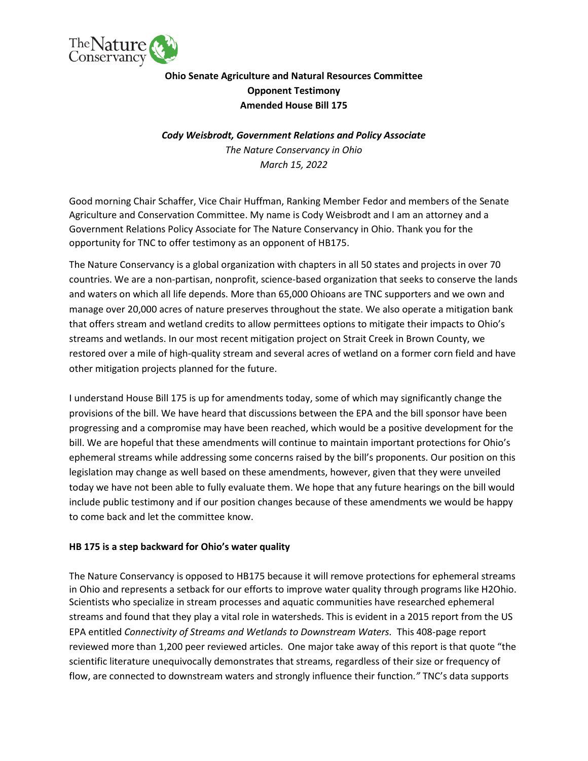

# **Ohio Senate Agriculture and Natural Resources Committee Opponent Testimony Amended House Bill 175**

# *Cody Weisbrodt, Government Relations and Policy Associate The Nature Conservancy in Ohio March 15, 2022*

Good morning Chair Schaffer, Vice Chair Huffman, Ranking Member Fedor and members of the Senate Agriculture and Conservation Committee. My name is Cody Weisbrodt and I am an attorney and a Government Relations Policy Associate for The Nature Conservancy in Ohio. Thank you for the opportunity for TNC to offer testimony as an opponent of HB175.

The Nature Conservancy is a global organization with chapters in all 50 states and projects in over 70 countries. We are a non-partisan, nonprofit, science-based organization that seeks to conserve the lands and waters on which all life depends. More than 65,000 Ohioans are TNC supporters and we own and manage over 20,000 acres of nature preserves throughout the state. We also operate a mitigation bank that offers stream and wetland credits to allow permittees options to mitigate their impacts to Ohio's streams and wetlands. In our most recent mitigation project on Strait Creek in Brown County, we restored over a mile of high-quality stream and several acres of wetland on a former corn field and have other mitigation projects planned for the future.

I understand House Bill 175 is up for amendments today, some of which may significantly change the provisions of the bill. We have heard that discussions between the EPA and the bill sponsor have been progressing and a compromise may have been reached, which would be a positive development for the bill. We are hopeful that these amendments will continue to maintain important protections for Ohio's ephemeral streams while addressing some concerns raised by the bill's proponents. Our position on this legislation may change as well based on these amendments, however, given that they were unveiled today we have not been able to fully evaluate them. We hope that any future hearings on the bill would include public testimony and if our position changes because of these amendments we would be happy to come back and let the committee know.

### **HB 175 is a step backward for Ohio's water quality**

The Nature Conservancy is opposed to HB175 because it will remove protections for ephemeral streams in Ohio and represents a setback for our efforts to improve water quality through programs like H2Ohio. Scientists who specialize in stream processes and aquatic communities have researched ephemeral streams and found that they play a vital role in watersheds. This is evident in a 2015 report from the US EPA entitled *Connectivity of Streams and Wetlands to Downstream Waters.* This 408-page report reviewed more than 1,200 peer reviewed articles. One major take away of this report is that quote "the scientific literature unequivocally demonstrates that streams, regardless of their size or frequency of flow, are connected to downstream waters and strongly influence their function.*"* TNC's data supports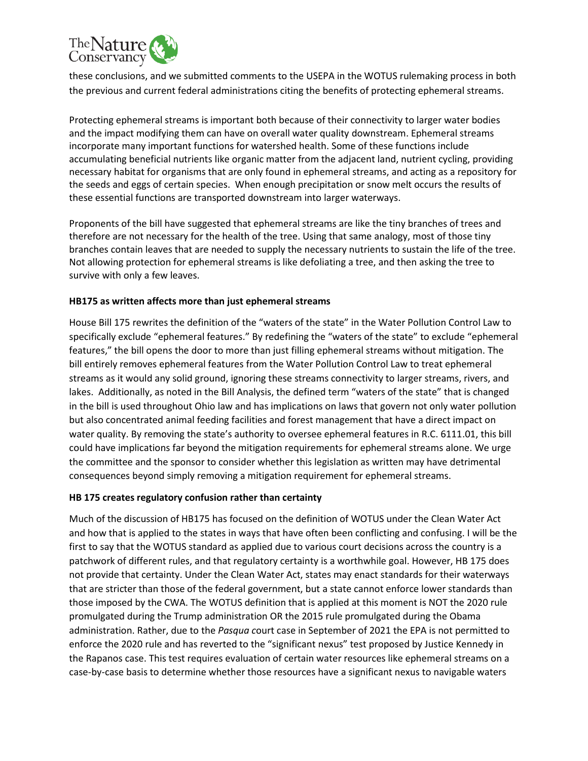

these conclusions, and we submitted comments to the USEPA in the WOTUS rulemaking process in both the previous and current federal administrations citing the benefits of protecting ephemeral streams.

Protecting ephemeral streams is important both because of their connectivity to larger water bodies and the impact modifying them can have on overall water quality downstream. Ephemeral streams incorporate many important functions for watershed health. Some of these functions include accumulating beneficial nutrients like organic matter from the adjacent land, nutrient cycling, providing necessary habitat for organisms that are only found in ephemeral streams, and acting as a repository for the seeds and eggs of certain species. When enough precipitation or snow melt occurs the results of these essential functions are transported downstream into larger waterways.

Proponents of the bill have suggested that ephemeral streams are like the tiny branches of trees and therefore are not necessary for the health of the tree. Using that same analogy, most of those tiny branches contain leaves that are needed to supply the necessary nutrients to sustain the life of the tree. Not allowing protection for ephemeral streams is like defoliating a tree, and then asking the tree to survive with only a few leaves.

### **HB175 as written affects more than just ephemeral streams**

House Bill 175 rewrites the definition of the "waters of the state" in the Water Pollution Control Law to specifically exclude "ephemeral features." By redefining the "waters of the state" to exclude "ephemeral features," the bill opens the door to more than just filling ephemeral streams without mitigation. The bill entirely removes ephemeral features from the Water Pollution Control Law to treat ephemeral streams as it would any solid ground, ignoring these streams connectivity to larger streams, rivers, and lakes. Additionally, as noted in the Bill Analysis, the defined term "waters of the state" that is changed in the bill is used throughout Ohio law and has implications on laws that govern not only water pollution but also concentrated animal feeding facilities and forest management that have a direct impact on water quality. By removing the state's authority to oversee ephemeral features in R.C. 6111.01, this bill could have implications far beyond the mitigation requirements for ephemeral streams alone. We urge the committee and the sponsor to consider whether this legislation as written may have detrimental consequences beyond simply removing a mitigation requirement for ephemeral streams.

### **HB 175 creates regulatory confusion rather than certainty**

Much of the discussion of HB175 has focused on the definition of WOTUS under the Clean Water Act and how that is applied to the states in ways that have often been conflicting and confusing. I will be the first to say that the WOTUS standard as applied due to various court decisions across the country is a patchwork of different rules, and that regulatory certainty is a worthwhile goal. However, HB 175 does not provide that certainty. Under the Clean Water Act, states may enact standards for their waterways that are stricter than those of the federal government, but a state cannot enforce lower standards than those imposed by the CWA. The WOTUS definition that is applied at this moment is NOT the 2020 rule promulgated during the Trump administration OR the 2015 rule promulgated during the Obama administration. Rather, due to the *Pasqua c*ourt case in September of 2021 the EPA is not permitted to enforce the 2020 rule and has reverted to the "significant nexus" test proposed by Justice Kennedy in the Rapanos case. This test requires evaluation of certain water resources like ephemeral streams on a case-by-case basis to determine whether those resources have a significant nexus to navigable waters